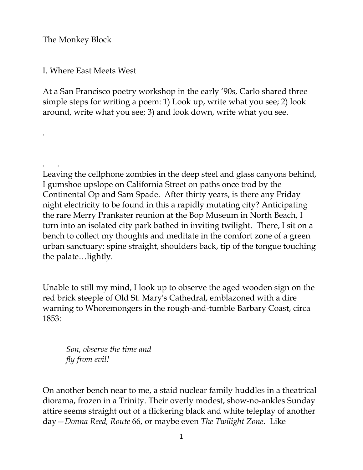The Monkey Block

.

I. Where East Meets West

At a San Francisco poetry workshop in the early '90s, Carlo shared three simple steps for writing a poem: 1) Look up, write what you see; 2) look around, write what you see; 3) and look down, write what you see.

. . Leaving the cellphone zombies in the deep steel and glass canyons behind, I gumshoe upslope on California Street on paths once trod by the Continental Op and Sam Spade. After thirty years, is there any Friday night electricity to be found in this a rapidly mutating city? Anticipating the rare Merry Prankster reunion at the Bop Museum in North Beach, I turn into an isolated city park bathed in inviting twilight. There, I sit on a bench to collect my thoughts and meditate in the comfort zone of a green urban sanctuary: spine straight, shoulders back, tip of the tongue touching the palate…lightly.

Unable to still my mind, I look up to observe the aged wooden sign on the red brick steeple of Old St. Mary's Cathedral, emblazoned with a dire warning to Whoremongers in the rough-and-tumble Barbary Coast, circa 1853:

 *Son, observe the time and fly from evil!* 

On another bench near to me, a staid nuclear family huddles in a theatrical diorama, frozen in a Trinity. Their overly modest, show-no-ankles Sunday attire seems straight out of a flickering black and white teleplay of another day—*Donna Reed, Route* 66, or maybe even *The Twilight Zone*. Like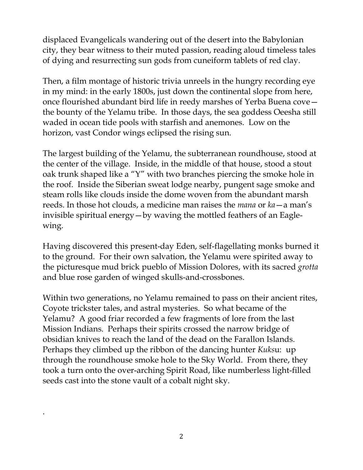displaced Evangelicals wandering out of the desert into the Babylonian city, they bear witness to their muted passion, reading aloud timeless tales of dying and resurrecting sun gods from cuneiform tablets of red clay.

Then, a film montage of historic trivia unreels in the hungry recording eye in my mind: in the early 1800s, just down the continental slope from here, once flourished abundant bird life in reedy marshes of Yerba Buena cove the bounty of the Yelamu tribe. In those days, the sea goddess Oeesha still waded in ocean tide pools with starfish and anemones. Low on the horizon, vast Condor wings eclipsed the rising sun.

The largest building of the Yelamu, the subterranean roundhouse, stood at the center of the village. Inside, in the middle of that house, stood a stout oak trunk shaped like a "Y" with two branches piercing the smoke hole in the roof. Inside the Siberian sweat lodge nearby, pungent sage smoke and steam rolls like clouds inside the dome woven from the abundant marsh reeds. In those hot clouds, a medicine man raises the *mana* or *ka*—a man's invisible spiritual energy—by waving the mottled feathers of an Eaglewing.

Having discovered this present-day Eden, self-flagellating monks burned it to the ground. For their own salvation, the Yelamu were spirited away to the picturesque mud brick pueblo of Mission Dolores, with its sacred *grotta* and blue rose garden of winged skulls-and-crossbones.

Within two generations, no Yelamu remained to pass on their ancient rites, Coyote trickster tales, and astral mysteries. So what became of the Yelamu? A good friar recorded a few fragments of lore from the last Mission Indians. Perhaps their spirits crossed the narrow bridge of obsidian knives to reach the land of the dead on the Farallon Islands. Perhaps they climbed up the ribbon of the dancing hunter *Kuks*u: up through the roundhouse smoke hole to the Sky World. From there, they took a turn onto the over-arching Spirit Road, like numberless light-filled seeds cast into the stone vault of a cobalt night sky.

.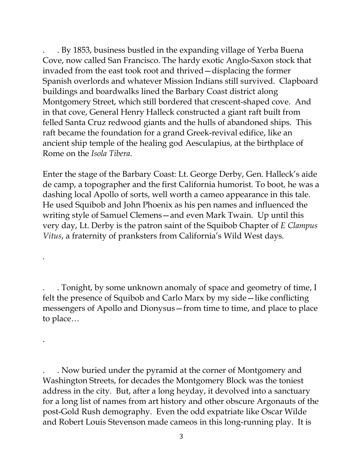. By 1853, business bustled in the expanding village of Yerba Buena Cove, now called San Francisco. The hardy exotic Anglo-Saxon stock that invaded from the east took root and thrived—displacing the former Spanish overlords and whatever Mission Indians still survived. Clapboard buildings and boardwalks lined the Barbary Coast district along Montgomery Street, which still bordered that crescent-shaped cove. And in that cove, General Henry Halleck constructed a giant raft built from felled Santa Cruz redwood giants and the hulls of abandoned ships. This raft became the foundation for a grand Greek-revival edifice, like an ancient ship temple of the healing god Aesculapius, at the birthplace of Rome on the *Isola Tibera*.

Enter the stage of the Barbary Coast: Lt. George Derby, Gen. Halleck's aide de camp, a topographer and the first California humorist. To boot, he was a dashing local Apollo of sorts, well worth a cameo appearance in this tale. He used Squibob and John Phoenix as his pen names and influenced the writing style of Samuel Clemens—and even Mark Twain. Up until this very day, Lt. Derby is the patron saint of the Squibob Chapter of *E Clampus Vitus*, a fraternity of pranksters from California's Wild West days.

. . Tonight, by some unknown anomaly of space and geometry of time, I felt the presence of Squibob and Carlo Marx by my side—like conflicting messengers of Apollo and Dionysus—from time to time, and place to place to place…

.

.

. Now buried under the pyramid at the corner of Montgomery and Washington Streets, for decades the Montgomery Block was the toniest address in the city. But, after a long heyday, it devolved into a sanctuary for a long list of names from art history and other obscure Argonauts of the post-Gold Rush demography. Even the odd expatriate like Oscar Wilde and Robert Louis Stevenson made cameos in this long-running play. It is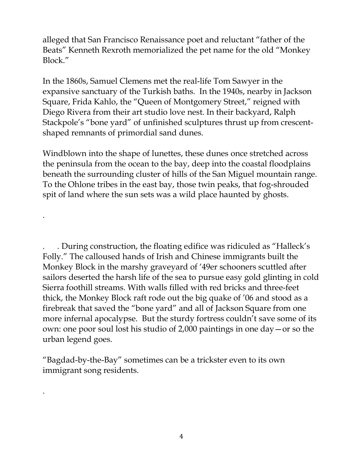alleged that San Francisco Renaissance poet and reluctant "father of the Beats" Kenneth Rexroth memorialized the pet name for the old "Monkey Block."

In the 1860s, Samuel Clemens met the real-life Tom Sawyer in the expansive sanctuary of the Turkish baths. In the 1940s, nearby in Jackson Square, Frida Kahlo, the "Queen of Montgomery Street," reigned with Diego Rivera from their art studio love nest. In their backyard, Ralph Stackpole's "bone yard" of unfinished sculptures thrust up from crescentshaped remnants of primordial sand dunes.

Windblown into the shape of lunettes, these dunes once stretched across the peninsula from the ocean to the bay, deep into the coastal floodplains beneath the surrounding cluster of hills of the San Miguel mountain range. To the Ohlone tribes in the east bay, those twin peaks, that fog-shrouded spit of land where the sun sets was a wild place haunted by ghosts.

.

.

. . During construction, the floating edifice was ridiculed as "Halleck's Folly." The calloused hands of Irish and Chinese immigrants built the Monkey Block in the marshy graveyard of '49er schooners scuttled after sailors deserted the harsh life of the sea to pursue easy gold glinting in cold Sierra foothill streams. With walls filled with red bricks and three-feet thick, the Monkey Block raft rode out the big quake of '06 and stood as a firebreak that saved the "bone yard" and all of Jackson Square from one more infernal apocalypse. But the sturdy fortress couldn't save some of its own: one poor soul lost his studio of 2,000 paintings in one day—or so the urban legend goes.

"Bagdad-by-the-Bay" sometimes can be a trickster even to its own immigrant song residents.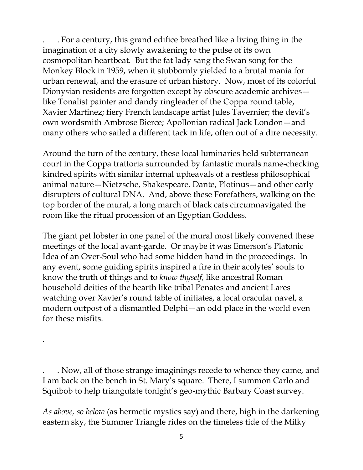. . For a century, this grand edifice breathed like a living thing in the imagination of a city slowly awakening to the pulse of its own cosmopolitan heartbeat. But the fat lady sang the Swan song for the Monkey Block in 1959, when it stubbornly yielded to a brutal mania for urban renewal, and the erasure of urban history. Now, most of its colorful Dionysian residents are forgotten except by obscure academic archives like Tonalist painter and dandy ringleader of the Coppa round table, Xavier Martinez; fiery French landscape artist Jules Tavernier; the devil's own wordsmith Ambrose Bierce; Apollonian radical Jack London—and many others who sailed a different tack in life, often out of a dire necessity.

Around the turn of the century, these local luminaries held subterranean court in the Coppa trattoria surrounded by fantastic murals name-checking kindred spirits with similar internal upheavals of a restless philosophical animal nature—Nietzsche, Shakespeare, Dante, Plotinus—and other early disrupters of cultural DNA. And, above these Forefathers, walking on the top border of the mural, a long march of black cats circumnavigated the room like the ritual procession of an Egyptian Goddess.

The giant pet lobster in one panel of the mural most likely convened these meetings of the local avant-garde. Or maybe it was Emerson's Platonic Idea of an Over-Soul who had some hidden hand in the proceedings. In any event, some guiding spirits inspired a fire in their acolytes' souls to know the truth of things and to *know thyself*, like ancestral Roman household deities of the hearth like tribal Penates and ancient Lares watching over Xavier's round table of initiates, a local oracular navel, a modern outpost of a dismantled Delphi—an odd place in the world even for these misfits.

. Now, all of those strange imaginings recede to whence they came, and I am back on the bench in St. Mary's square. There, I summon Carlo and Squibob to help triangulate tonight's geo-mythic Barbary Coast survey.

.

*As above, so below* (as hermetic mystics say) and there, high in the darkening eastern sky, the Summer Triangle rides on the timeless tide of the Milky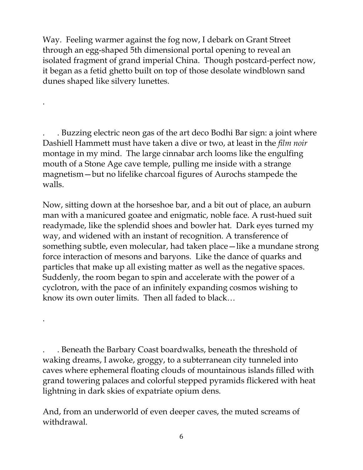Way. Feeling warmer against the fog now, I debark on Grant Street through an egg-shaped 5th dimensional portal opening to reveal an isolated fragment of grand imperial China. Though postcard-perfect now, it began as a fetid ghetto built on top of those desolate windblown sand dunes shaped like silvery lunettes.

.

.

. Buzzing electric neon gas of the art deco Bodhi Bar sign: a joint where Dashiell Hammett must have taken a dive or two, at least in the *film noir* montage in my mind. The large cinnabar arch looms like the engulfing mouth of a Stone Age cave temple, pulling me inside with a strange magnetism—but no lifelike charcoal figures of Aurochs stampede the walls.

Now, sitting down at the horseshoe bar, and a bit out of place, an auburn man with a manicured goatee and enigmatic, noble face. A rust-hued suit readymade, like the splendid shoes and bowler hat. Dark eyes turned my way, and widened with an instant of recognition. A transference of something subtle, even molecular, had taken place—like a mundane strong force interaction of mesons and baryons. Like the dance of quarks and particles that make up all existing matter as well as the negative spaces. Suddenly, the room began to spin and accelerate with the power of a cyclotron, with the pace of an infinitely expanding cosmos wishing to know its own outer limits. Then all faded to black…

. . Beneath the Barbary Coast boardwalks, beneath the threshold of waking dreams, I awoke, groggy, to a subterranean city tunneled into caves where ephemeral floating clouds of mountainous islands filled with grand towering palaces and colorful stepped pyramids flickered with heat lightning in dark skies of expatriate opium dens.

And, from an underworld of even deeper caves, the muted screams of withdrawal.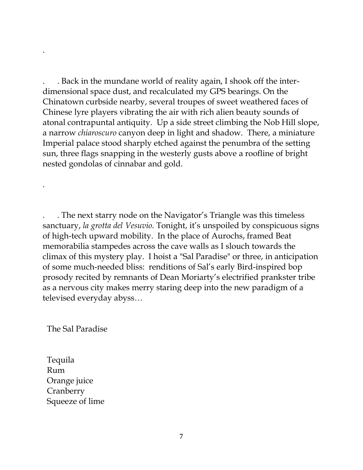. . Back in the mundane world of reality again, I shook off the interdimensional space dust, and recalculated my GPS bearings. On the Chinatown curbside nearby, several troupes of sweet weathered faces of Chinese lyre players vibrating the air with rich alien beauty sounds of atonal contrapuntal antiquity. Up a side street climbing the Nob Hill slope, a narrow *chiaroscuro* canyon deep in light and shadow. There, a miniature Imperial palace stood sharply etched against the penumbra of the setting sun, three flags snapping in the westerly gusts above a roofline of bright nested gondolas of cinnabar and gold.

. . The next starry node on the Navigator's Triangle was this timeless sanctuary, *la grotta del Vesuvio*. Tonight, it's unspoiled by conspicuous signs of high-tech upward mobility. In the place of Aurochs, framed Beat memorabilia stampedes across the cave walls as I slouch towards the climax of this mystery play. I hoist a "Sal Paradise" or three, in anticipation of some much-needed bliss: renditions of Sal's early Bird-inspired bop prosody recited by remnants of Dean Moriarty's electrified prankster tribe as a nervous city makes merry staring deep into the new paradigm of a televised everyday abyss…

The Sal Paradise

.

.

 Tequila Rum Orange juice Cranberry Squeeze of lime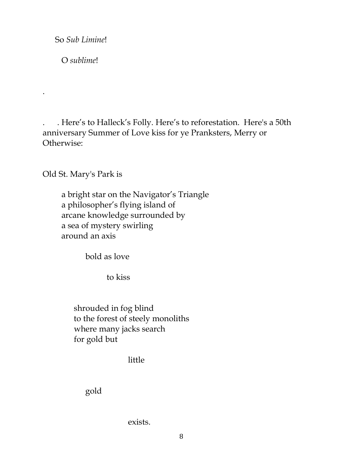So *Sub Limine*!

O *sublime*!

.

. . Here's to Halleck's Folly. Here's to reforestation. Here's a 50th anniversary Summer of Love kiss for ye Pranksters, Merry or Otherwise:

Old St. Mary's Park is

 a bright star on the Navigator's Triangle a philosopher's flying island of arcane knowledge surrounded by a sea of mystery swirling around an axis

bold as love

to kiss

 shrouded in fog blind to the forest of steely monoliths where many jacks search for gold but

little

gold

exists.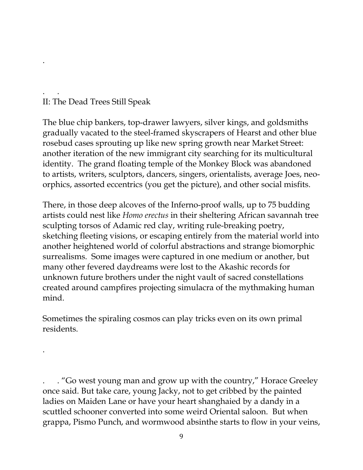## . . II: The Dead Trees Still Speak

.

.

The blue chip bankers, top-drawer lawyers, silver kings, and goldsmiths gradually vacated to the steel-framed skyscrapers of Hearst and other blue rosebud cases sprouting up like new spring growth near Market Street: another iteration of the new immigrant city searching for its multicultural identity. The grand floating temple of the Monkey Block was abandoned to artists, writers, sculptors, dancers, singers, orientalists, average Joes, neoorphics, assorted eccentrics (you get the picture), and other social misfits.

There, in those deep alcoves of the Inferno-proof walls, up to 75 budding artists could nest like *Homo erectus* in their sheltering African savannah tree sculpting torsos of Adamic red clay, writing rule-breaking poetry, sketching fleeting visions, or escaping entirely from the material world into another heightened world of colorful abstractions and strange biomorphic surrealisms. Some images were captured in one medium or another, but many other fevered daydreams were lost to the Akashic records for unknown future brothers under the night vault of sacred constellations created around campfires projecting simulacra of the mythmaking human mind.

Sometimes the spiraling cosmos can play tricks even on its own primal residents.

. . "Go west young man and grow up with the country," Horace Greeley once said. But take care, young Jacky, not to get cribbed by the painted ladies on Maiden Lane or have your heart shanghaied by a dandy in a scuttled schooner converted into some weird Oriental saloon. But when grappa, Pismo Punch, and wormwood absinthe starts to flow in your veins,